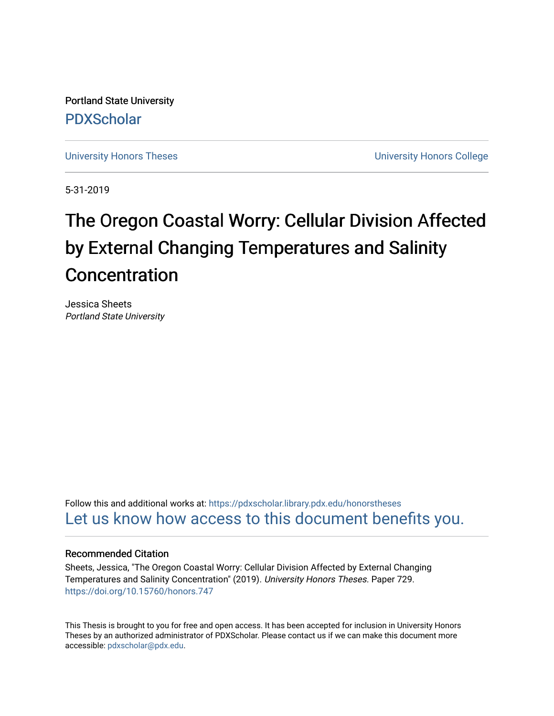Portland State University [PDXScholar](https://pdxscholar.library.pdx.edu/)

[University Honors Theses](https://pdxscholar.library.pdx.edu/honorstheses) [University Honors College](https://pdxscholar.library.pdx.edu/honors) 

5-31-2019

# The Oregon Coastal Worry: Cellular Division Affected by External Changing Temperatures and Salinity Concentration

Jessica Sheets Portland State University

Follow this and additional works at: [https://pdxscholar.library.pdx.edu/honorstheses](https://pdxscholar.library.pdx.edu/honorstheses?utm_source=pdxscholar.library.pdx.edu%2Fhonorstheses%2F729&utm_medium=PDF&utm_campaign=PDFCoverPages)  [Let us know how access to this document benefits you.](http://library.pdx.edu/services/pdxscholar-services/pdxscholar-feedback/) 

#### Recommended Citation

Sheets, Jessica, "The Oregon Coastal Worry: Cellular Division Affected by External Changing Temperatures and Salinity Concentration" (2019). University Honors Theses. Paper 729. <https://doi.org/10.15760/honors.747>

This Thesis is brought to you for free and open access. It has been accepted for inclusion in University Honors Theses by an authorized administrator of PDXScholar. Please contact us if we can make this document more accessible: [pdxscholar@pdx.edu.](mailto:pdxscholar@pdx.edu)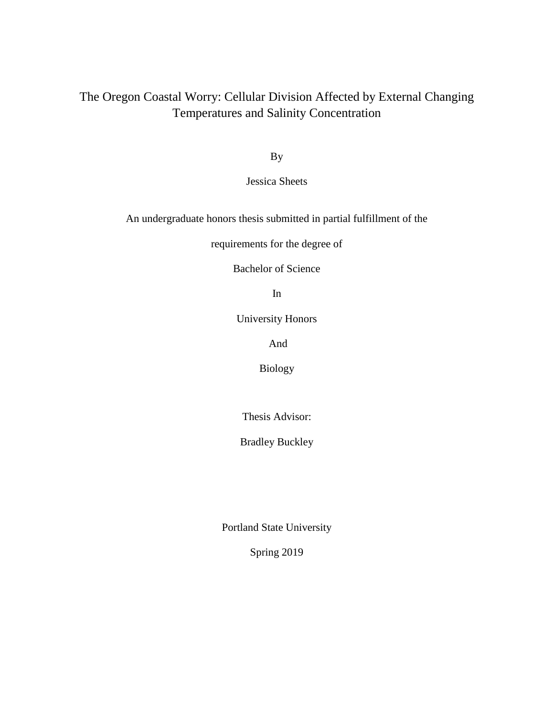### The Oregon Coastal Worry: Cellular Division Affected by External Changing Temperatures and Salinity Concentration

By

Jessica Sheets

An undergraduate honors thesis submitted in partial fulfillment of the

requirements for the degree of

Bachelor of Science

In

University Honors

And

Biology

Thesis Advisor:

Bradley Buckley

Portland State University

Spring 2019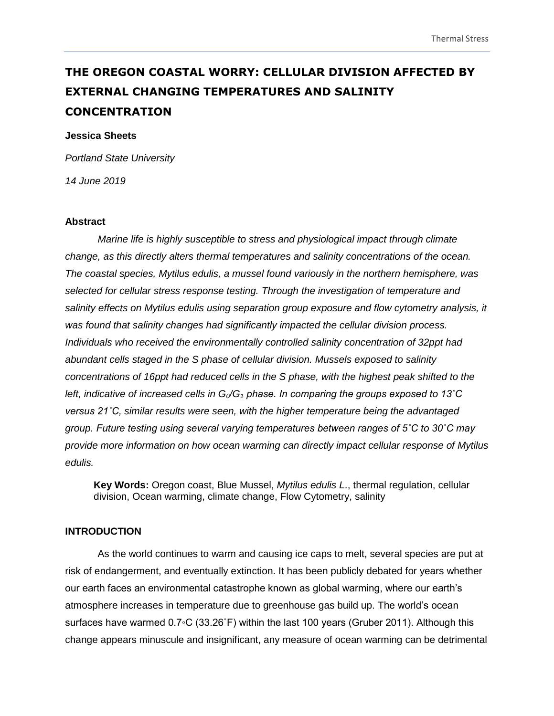## **THE OREGON COASTAL WORRY: CELLULAR DIVISION AFFECTED BY EXTERNAL CHANGING TEMPERATURES AND SALINITY CONCENTRATION**

#### **Jessica Sheets**

*Portland State University*

*14 June 2019*

#### **Abstract**

*Marine life is highly susceptible to stress and physiological impact through climate change, as this directly alters thermal temperatures and salinity concentrations of the ocean. The coastal species, Mytilus edulis, a mussel found variously in the northern hemisphere, was selected for cellular stress response testing. Through the investigation of temperature and salinity effects on Mytilus edulis using separation group exposure and flow cytometry analysis, it was found that salinity changes had significantly impacted the cellular division process. Individuals who received the environmentally controlled salinity concentration of 32ppt had abundant cells staged in the S phase of cellular division. Mussels exposed to salinity concentrations of 16ppt had reduced cells in the S phase, with the highest peak shifted to the left, indicative of increased cells in G0/G<sup>1</sup> phase. In comparing the groups exposed to 13˚C versus 21˚C, similar results were seen, with the higher temperature being the advantaged group. Future testing using several varying temperatures between ranges of 5˚C to 30˚C may provide more information on how ocean warming can directly impact cellular response of Mytilus edulis.* 

**Key Words:** Oregon coast, Blue Mussel, *Mytilus edulis L*., thermal regulation, cellular division, Ocean warming, climate change, Flow Cytometry, salinity

#### **INTRODUCTION**

As the world continues to warm and causing ice caps to melt, several species are put at risk of endangerment, and eventually extinction. It has been publicly debated for years whether our earth faces an environmental catastrophe known as global warming, where our earth's atmosphere increases in temperature due to greenhouse gas build up. The world's ocean surfaces have warmed 0.7◦C (33.26˚F) within the last 100 years (Gruber 2011). Although this change appears minuscule and insignificant, any measure of ocean warming can be detrimental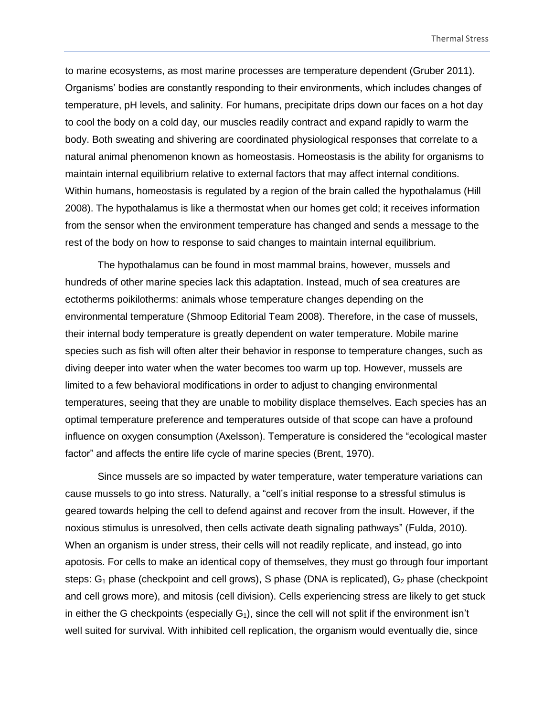to marine ecosystems, as most marine processes are temperature dependent (Gruber 2011). Organisms' bodies are constantly responding to their environments, which includes changes of temperature, pH levels, and salinity. For humans, precipitate drips down our faces on a hot day to cool the body on a cold day, our muscles readily contract and expand rapidly to warm the body. Both sweating and shivering are coordinated physiological responses that correlate to a natural animal phenomenon known as homeostasis. Homeostasis is the ability for organisms to maintain internal equilibrium relative to external factors that may affect internal conditions. Within humans, homeostasis is regulated by a region of the brain called the hypothalamus (Hill 2008). The hypothalamus is like a thermostat when our homes get cold; it receives information from the sensor when the environment temperature has changed and sends a message to the rest of the body on how to response to said changes to maintain internal equilibrium.

The hypothalamus can be found in most mammal brains, however, mussels and hundreds of other marine species lack this adaptation. Instead, much of sea creatures are ectotherms poikilotherms: animals whose temperature changes depending on the environmental temperature (Shmoop Editorial Team 2008). Therefore, in the case of mussels, their internal body temperature is greatly dependent on water temperature. Mobile marine species such as fish will often alter their behavior in response to temperature changes, such as diving deeper into water when the water becomes too warm up top. However, mussels are limited to a few behavioral modifications in order to adjust to changing environmental temperatures, seeing that they are unable to mobility displace themselves. Each species has an optimal temperature preference and temperatures outside of that scope can have a profound influence on oxygen consumption (Axelsson). Temperature is considered the "ecological master factor" and affects the entire life cycle of marine species (Brent, 1970).

Since mussels are so impacted by water temperature, water temperature variations can cause mussels to go into stress. Naturally, a "cell's initial response to a stressful stimulus is geared towards helping the cell to defend against and recover from the insult. However, if the noxious stimulus is unresolved, then cells activate death signaling pathways" (Fulda, 2010). When an organism is under stress, their cells will not readily replicate, and instead, go into apotosis. For cells to make an identical copy of themselves, they must go through four important steps:  $G_1$  phase (checkpoint and cell grows), S phase (DNA is replicated),  $G_2$  phase (checkpoint and cell grows more), and mitosis (cell division). Cells experiencing stress are likely to get stuck in either the G checkpoints (especially  $G_1$ ), since the cell will not split if the environment isn't well suited for survival. With inhibited cell replication, the organism would eventually die, since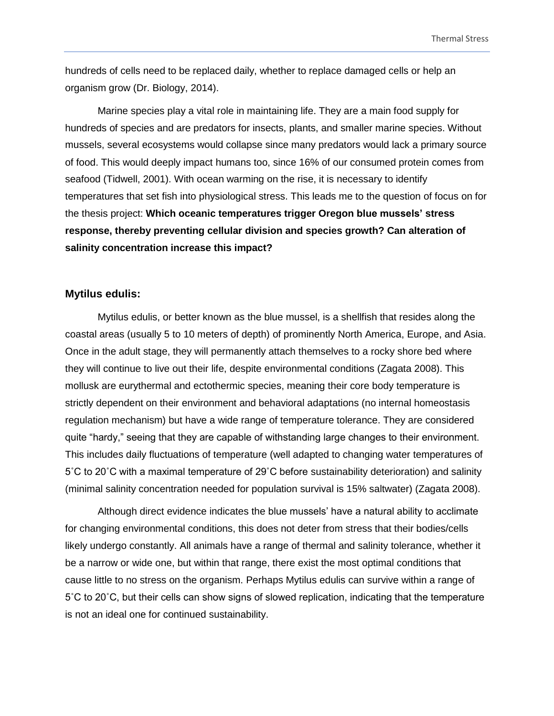hundreds of cells need to be replaced daily, whether to replace damaged cells or help an organism grow (Dr. Biology, 2014).

Marine species play a vital role in maintaining life. They are a main food supply for hundreds of species and are predators for insects, plants, and smaller marine species. Without mussels, several ecosystems would collapse since many predators would lack a primary source of food. This would deeply impact humans too, since 16% of our consumed protein comes from seafood (Tidwell, 2001). With ocean warming on the rise, it is necessary to identify temperatures that set fish into physiological stress. This leads me to the question of focus on for the thesis project: **Which oceanic temperatures trigger Oregon blue mussels' stress response, thereby preventing cellular division and species growth? Can alteration of salinity concentration increase this impact?**

#### **Mytilus edulis:**

Mytilus edulis, or better known as the blue mussel, is a shellfish that resides along the coastal areas (usually 5 to 10 meters of depth) of prominently North America, Europe, and Asia. Once in the adult stage, they will permanently attach themselves to a rocky shore bed where they will continue to live out their life, despite environmental conditions (Zagata 2008). This mollusk are eurythermal and ectothermic species, meaning their core body temperature is strictly dependent on their environment and behavioral adaptations (no internal homeostasis regulation mechanism) but have a wide range of temperature tolerance. They are considered quite "hardy," seeing that they are capable of withstanding large changes to their environment. This includes daily fluctuations of temperature (well adapted to changing water temperatures of 5˚C to 20˚C with a maximal temperature of 29˚C before sustainability deterioration) and salinity (minimal salinity concentration needed for population survival is 15% saltwater) (Zagata 2008).

Although direct evidence indicates the blue mussels' have a natural ability to acclimate for changing environmental conditions, this does not deter from stress that their bodies/cells likely undergo constantly. All animals have a range of thermal and salinity tolerance, whether it be a narrow or wide one, but within that range, there exist the most optimal conditions that cause little to no stress on the organism. Perhaps Mytilus edulis can survive within a range of 5˚C to 20˚C, but their cells can show signs of slowed replication, indicating that the temperature is not an ideal one for continued sustainability.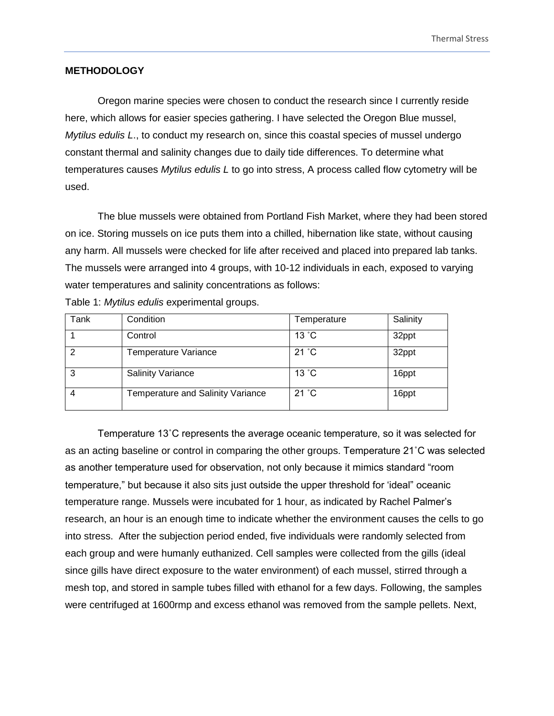#### **METHODOLOGY**

Oregon marine species were chosen to conduct the research since I currently reside here, which allows for easier species gathering. I have selected the Oregon Blue mussel, *Mytilus edulis L*., to conduct my research on, since this coastal species of mussel undergo constant thermal and salinity changes due to daily tide differences. To determine what temperatures causes *Mytilus edulis L* to go into stress, A process called flow cytometry will be used.

The blue mussels were obtained from Portland Fish Market, where they had been stored on ice. Storing mussels on ice puts them into a chilled, hibernation like state, without causing any harm. All mussels were checked for life after received and placed into prepared lab tanks. The mussels were arranged into 4 groups, with 10-12 individuals in each, exposed to varying water temperatures and salinity concentrations as follows:

| Tank | Condition                         | Temperature    | Salinity |
|------|-----------------------------------|----------------|----------|
|      | Control                           | 13 °C          | 32ppt    |
| 2    | Temperature Variance              | 21 °C          | 32ppt    |
| 3    | <b>Salinity Variance</b>          | 13 °C          | 16ppt    |
|      | Temperature and Salinity Variance | $21 \degree C$ | 16ppt    |

Table 1: *Mytilus edulis* experimental groups.

Temperature 13˚C represents the average oceanic temperature, so it was selected for as an acting baseline or control in comparing the other groups. Temperature 21˚C was selected as another temperature used for observation, not only because it mimics standard "room temperature," but because it also sits just outside the upper threshold for 'ideal" oceanic temperature range. Mussels were incubated for 1 hour, as indicated by Rachel Palmer's research, an hour is an enough time to indicate whether the environment causes the cells to go into stress. After the subjection period ended, five individuals were randomly selected from each group and were humanly euthanized. Cell samples were collected from the gills (ideal since gills have direct exposure to the water environment) of each mussel, stirred through a mesh top, and stored in sample tubes filled with ethanol for a few days. Following, the samples were centrifuged at 1600rmp and excess ethanol was removed from the sample pellets. Next,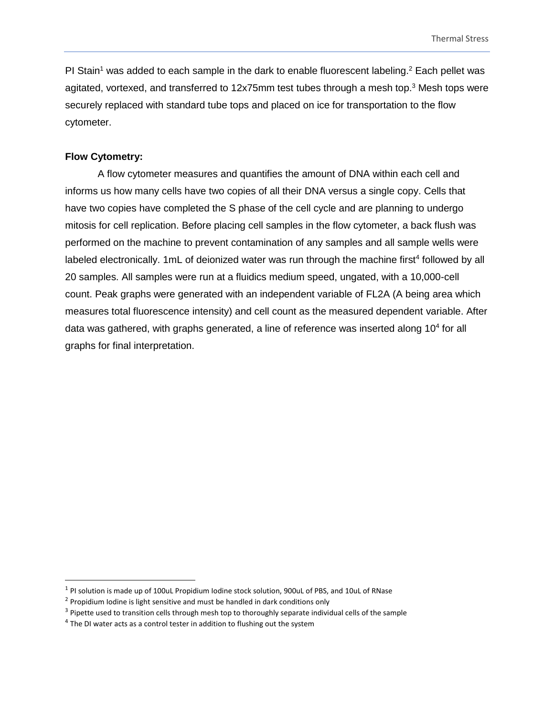PI Stain<sup>1</sup> was added to each sample in the dark to enable fluorescent labeling.<sup>2</sup> Each pellet was agitated, vortexed, and transferred to 12x75mm test tubes through a mesh top.<sup>3</sup> Mesh tops were securely replaced with standard tube tops and placed on ice for transportation to the flow cytometer.

#### **Flow Cytometry:**

 $\overline{a}$ 

A flow cytometer measures and quantifies the amount of DNA within each cell and informs us how many cells have two copies of all their DNA versus a single copy. Cells that have two copies have completed the S phase of the cell cycle and are planning to undergo mitosis for cell replication. Before placing cell samples in the flow cytometer, a back flush was performed on the machine to prevent contamination of any samples and all sample wells were labeled electronically. 1mL of deionized water was run through the machine first<sup>4</sup> followed by all 20 samples. All samples were run at a fluidics medium speed, ungated, with a 10,000-cell count. Peak graphs were generated with an independent variable of FL2A (A being area which measures total fluorescence intensity) and cell count as the measured dependent variable. After data was gathered, with graphs generated, a line of reference was inserted along 10<sup>4</sup> for all graphs for final interpretation.

<sup>&</sup>lt;sup>1</sup> PI solution is made up of 100uL Propidium Iodine stock solution, 900uL of PBS, and 10uL of RNase

<sup>&</sup>lt;sup>2</sup> Propidium Iodine is light sensitive and must be handled in dark conditions only

<sup>&</sup>lt;sup>3</sup> Pipette used to transition cells through mesh top to thoroughly separate individual cells of the sample

<sup>&</sup>lt;sup>4</sup> The DI water acts as a control tester in addition to flushing out the system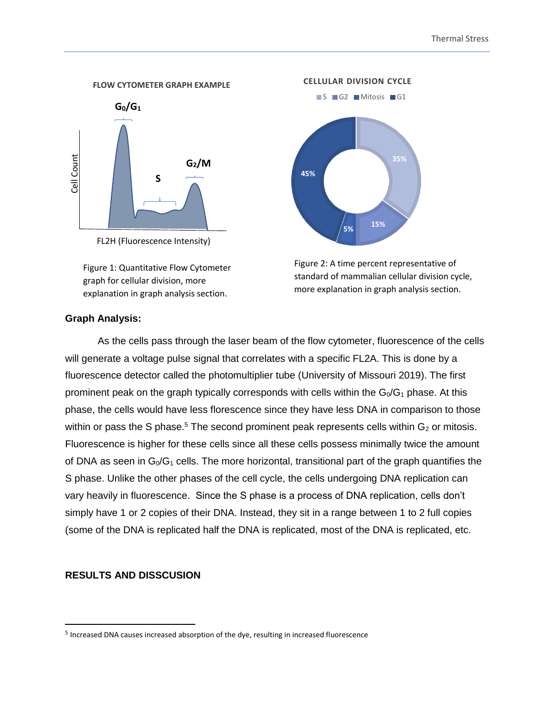

Figure 1: Quantitative Flow Cytometer

graph for cellular division, more explanation in graph analysis section.

**35% 15% 5% 45%** S G2 Mitosis G1

**CELLULAR DIVISION CYCLE**



#### **Graph Analysis:**

As the cells pass through the laser beam of the flow cytometer, fluorescence of the cells will generate a voltage pulse signal that correlates with a specific FL2A. This is done by a fluorescence detector called the photomultiplier tube (University of Missouri 2019). The first prominent peak on the graph typically corresponds with cells within the  $G_0/G_1$  phase. At this phase, the cells would have less florescence since they have less DNA in comparison to those within or pass the S phase.<sup>5</sup> The second prominent peak represents cells within  $G_2$  or mitosis. Fluorescence is higher for these cells since all these cells possess minimally twice the amount of DNA as seen in  $G_0/G_1$  cells. The more horizontal, transitional part of the graph quantifies the S phase. Unlike the other phases of the cell cycle, the cells undergoing DNA replication can vary heavily in fluorescence. Since the S phase is a process of DNA replication, cells don't simply have 1 or 2 copies of their DNA. Instead, they sit in a range between 1 to 2 full copies (some of the DNA is replicated half the DNA is replicated, most of the DNA is replicated, etc.

#### **RESULTS AND DISSCUSION**

 $\overline{a}$ 

<sup>&</sup>lt;sup>5</sup> Increased DNA causes increased absorption of the dye, resulting in increased fluorescence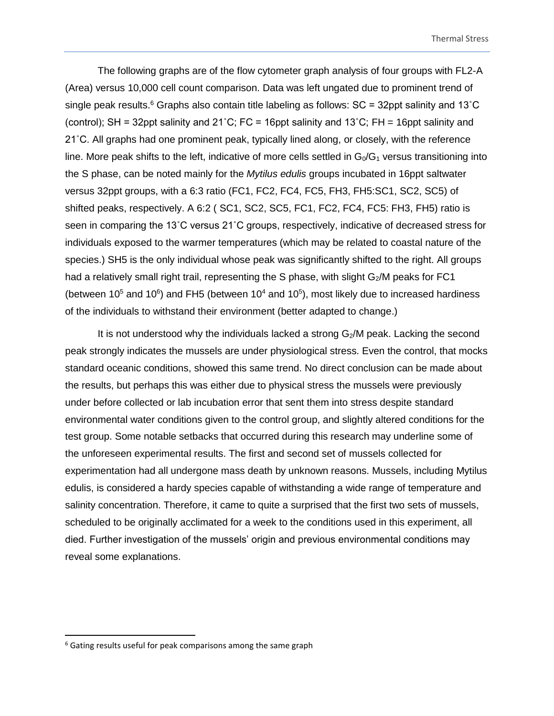The following graphs are of the flow cytometer graph analysis of four groups with FL2-A (Area) versus 10,000 cell count comparison. Data was left ungated due to prominent trend of single peak results.<sup>6</sup> Graphs also contain title labeling as follows:  $SC = 32$ ppt salinity and 13°C (control); SH = 32ppt salinity and 21°C; FC = 16ppt salinity and 13°C; FH = 16ppt salinity and 21˚C. All graphs had one prominent peak, typically lined along, or closely, with the reference line. More peak shifts to the left, indicative of more cells settled in  $G_0/G_1$  versus transitioning into the S phase, can be noted mainly for the *Mytilus edulis* groups incubated in 16ppt saltwater versus 32ppt groups, with a 6:3 ratio (FC1, FC2, FC4, FC5, FH3, FH5:SC1, SC2, SC5) of shifted peaks, respectively. A 6:2 ( SC1, SC2, SC5, FC1, FC2, FC4, FC5: FH3, FH5) ratio is seen in comparing the 13˚C versus 21˚C groups, respectively, indicative of decreased stress for individuals exposed to the warmer temperatures (which may be related to coastal nature of the species.) SH5 is the only individual whose peak was significantly shifted to the right. All groups had a relatively small right trail, representing the S phase, with slight  $G_2/M$  peaks for FC1 (between  $10^5$  and  $10^6$ ) and FH5 (between  $10^4$  and  $10^5$ ), most likely due to increased hardiness of the individuals to withstand their environment (better adapted to change.)

It is not understood why the individuals lacked a strong G<sub>2</sub>/M peak. Lacking the second peak strongly indicates the mussels are under physiological stress. Even the control, that mocks standard oceanic conditions, showed this same trend. No direct conclusion can be made about the results, but perhaps this was either due to physical stress the mussels were previously under before collected or lab incubation error that sent them into stress despite standard environmental water conditions given to the control group, and slightly altered conditions for the test group. Some notable setbacks that occurred during this research may underline some of the unforeseen experimental results. The first and second set of mussels collected for experimentation had all undergone mass death by unknown reasons. Mussels, including Mytilus edulis, is considered a hardy species capable of withstanding a wide range of temperature and salinity concentration. Therefore, it came to quite a surprised that the first two sets of mussels, scheduled to be originally acclimated for a week to the conditions used in this experiment, all died. Further investigation of the mussels' origin and previous environmental conditions may reveal some explanations.

 $\overline{a}$ 

 $6$  Gating results useful for peak comparisons among the same graph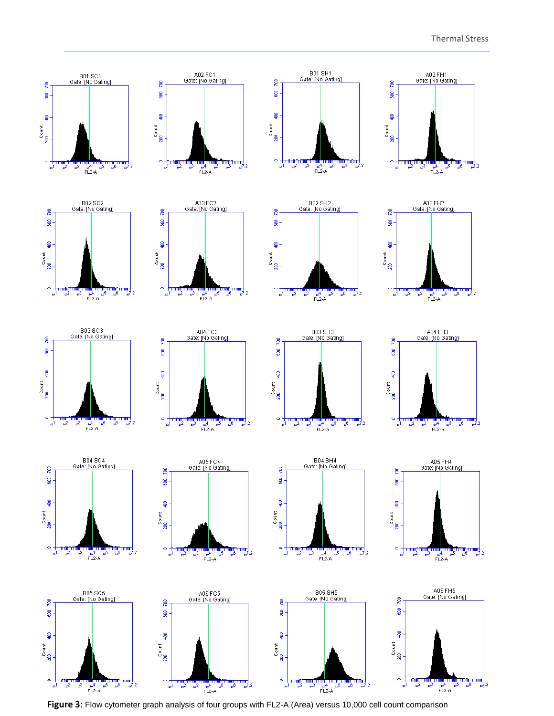

**Figure 3**: Flow cytometer graph analysis of four groups with FL2-A (Area) versus 10,000 cell count comparison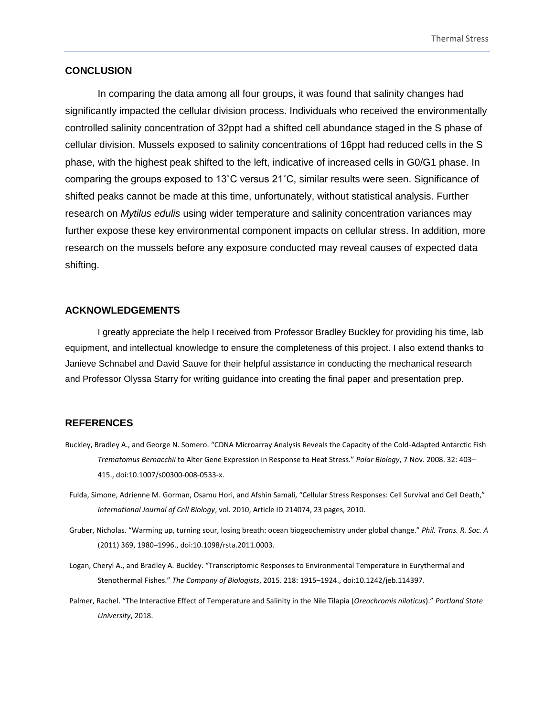#### **CONCLUSION**

In comparing the data among all four groups, it was found that salinity changes had significantly impacted the cellular division process. Individuals who received the environmentally controlled salinity concentration of 32ppt had a shifted cell abundance staged in the S phase of cellular division. Mussels exposed to salinity concentrations of 16ppt had reduced cells in the S phase, with the highest peak shifted to the left, indicative of increased cells in G0/G1 phase. In comparing the groups exposed to 13˚C versus 21˚C, similar results were seen. Significance of shifted peaks cannot be made at this time, unfortunately, without statistical analysis. Further research on *Mytilus edulis* using wider temperature and salinity concentration variances may further expose these key environmental component impacts on cellular stress. In addition, more research on the mussels before any exposure conducted may reveal causes of expected data shifting.

#### **ACKNOWLEDGEMENTS**

I greatly appreciate the help I received from Professor Bradley Buckley for providing his time, lab equipment, and intellectual knowledge to ensure the completeness of this project. I also extend thanks to Janieve Schnabel and David Sauve for their helpful assistance in conducting the mechanical research and Professor Olyssa Starry for writing guidance into creating the final paper and presentation prep.

#### **REFERENCES**

- Buckley, Bradley A., and George N. Somero. "CDNA Microarray Analysis Reveals the Capacity of the Cold-Adapted Antarctic Fish *Trematomus Bernacchii* to Alter Gene Expression in Response to Heat Stress." *Polar Biology*, 7 Nov. 2008. 32: 403– 415., doi:10.1007/s00300-008-0533-x.
- Fulda, Simone, Adrienne M. Gorman, Osamu Hori, and Afshin Samali, "Cellular Stress Responses: Cell Survival and Cell Death," *International Journal of Cell Biology*, vol. 2010, Article ID 214074, 23 pages, 2010.
- Gruber, Nicholas. "Warming up, turning sour, losing breath: ocean biogeochemistry under global change." *Phil. Trans. R. Soc. A* (2011) 369, 1980–1996., doi:10.1098/rsta.2011.0003.
- Logan, Cheryl A., and Bradley A. Buckley. "Transcriptomic Responses to Environmental Temperature in Eurythermal and Stenothermal Fishes." *The Company of Biologists*, 2015. 218: 1915–1924., doi:10.1242/jeb.114397.
- Palmer, Rachel. "The Interactive Effect of Temperature and Salinity in the Nile Tilapia (*Oreochromis niloticus*)." *Portland State University*, 2018.